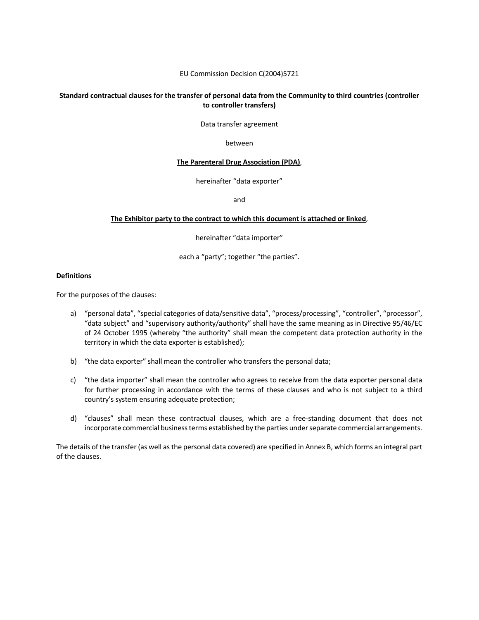EU Commission Decision C(2004)5721

## **Standard contractual clauses for the transfer of personal data from the Community to third countries (controller to controller transfers)**

Data transfer agreement

between

## **The Parenteral Drug Association (PDA)**,

hereinafter "data exporter"

and

## **The Exhibitor party to the contract to which this document is attached or linked**,

hereinafter "data importer"

each a "party"; together "the parties".

## **Definitions**

For the purposes of the clauses:

- a) "personal data", "special categories of data/sensitive data", "process/processing", "controller", "processor", "data subject" and "supervisory authority/authority" shall have the same meaning as in Directive 95/46/EC of 24 October 1995 (whereby "the authority" shall mean the competent data protection authority in the territory in which the data exporter is established);
- b) "the data exporter" shall mean the controller who transfers the personal data;
- c) "the data importer" shall mean the controller who agrees to receive from the data exporter personal data for further processing in accordance with the terms of these clauses and who is not subject to a third country's system ensuring adequate protection;
- d) "clauses" shall mean these contractual clauses, which are a free‐standing document that does not incorporate commercial business terms established by the parties under separate commercial arrangements.

The details of the transfer (as well asthe personal data covered) are specified in Annex B, which forms an integral part of the clauses.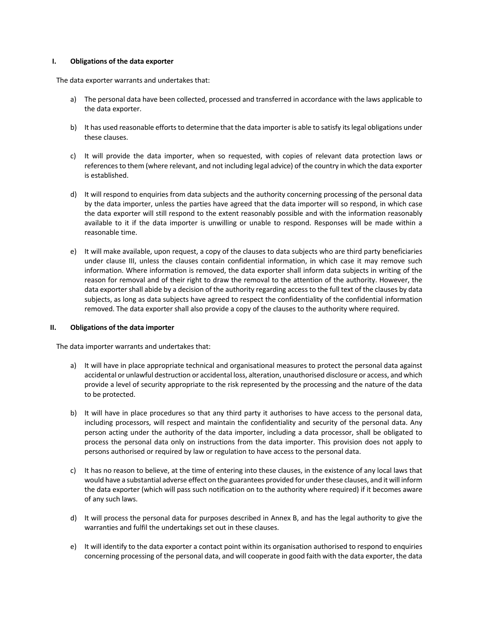## **I. Obligations of the data exporter**

The data exporter warrants and undertakes that:

- a) The personal data have been collected, processed and transferred in accordance with the laws applicable to the data exporter.
- b) It has used reasonable efforts to determine that the data importer is able to satisfy its legal obligations under these clauses.
- c) It will provide the data importer, when so requested, with copies of relevant data protection laws or references to them (where relevant, and not including legal advice) of the country in which the data exporter is established.
- d) It will respond to enquiries from data subjects and the authority concerning processing of the personal data by the data importer, unless the parties have agreed that the data importer will so respond, in which case the data exporter will still respond to the extent reasonably possible and with the information reasonably available to it if the data importer is unwilling or unable to respond. Responses will be made within a reasonable time.
- e) It will make available, upon request, a copy of the clauses to data subjects who are third party beneficiaries under clause III, unless the clauses contain confidential information, in which case it may remove such information. Where information is removed, the data exporter shall inform data subjects in writing of the reason for removal and of their right to draw the removal to the attention of the authority. However, the data exporter shall abide by a decision of the authority regarding access to the full text of the clauses by data subjects, as long as data subjects have agreed to respect the confidentiality of the confidential information removed. The data exporter shall also provide a copy of the clauses to the authority where required.

# **II. Obligations of the data importer**

The data importer warrants and undertakes that:

- a) It will have in place appropriate technical and organisational measures to protect the personal data against accidental or unlawful destruction or accidental loss, alteration, unauthorised disclosure or access, and which provide a level of security appropriate to the risk represented by the processing and the nature of the data to be protected.
- b) It will have in place procedures so that any third party it authorises to have access to the personal data, including processors, will respect and maintain the confidentiality and security of the personal data. Any person acting under the authority of the data importer, including a data processor, shall be obligated to process the personal data only on instructions from the data importer. This provision does not apply to persons authorised or required by law or regulation to have access to the personal data.
- c) It has no reason to believe, at the time of entering into these clauses, in the existence of any local laws that would have a substantial adverse effect on the guarantees provided for underthese clauses, and it will inform the data exporter (which will pass such notification on to the authority where required) if it becomes aware of any such laws.
- d) It will process the personal data for purposes described in Annex B, and has the legal authority to give the warranties and fulfil the undertakings set out in these clauses.
- e) It will identify to the data exporter a contact point within its organisation authorised to respond to enquiries concerning processing of the personal data, and will cooperate in good faith with the data exporter, the data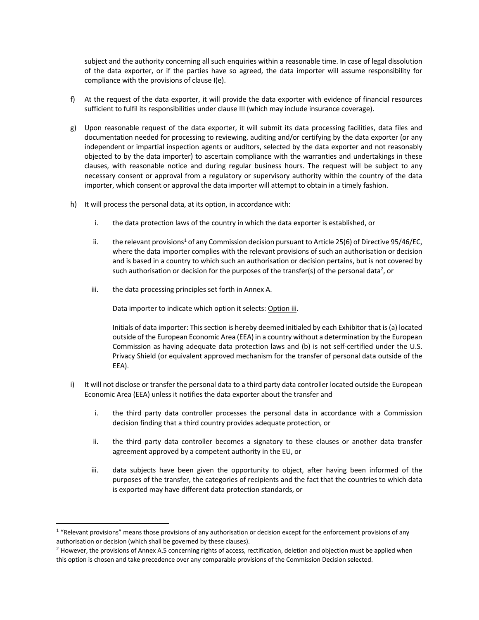subject and the authority concerning all such enquiries within a reasonable time. In case of legal dissolution of the data exporter, or if the parties have so agreed, the data importer will assume responsibility for compliance with the provisions of clause I(e).

- f) At the request of the data exporter, it will provide the data exporter with evidence of financial resources sufficient to fulfil its responsibilities under clause III (which may include insurance coverage).
- g) Upon reasonable request of the data exporter, it will submit its data processing facilities, data files and documentation needed for processing to reviewing, auditing and/or certifying by the data exporter (or any independent or impartial inspection agents or auditors, selected by the data exporter and not reasonably objected to by the data importer) to ascertain compliance with the warranties and undertakings in these clauses, with reasonable notice and during regular business hours. The request will be subject to any necessary consent or approval from a regulatory or supervisory authority within the country of the data importer, which consent or approval the data importer will attempt to obtain in a timely fashion.
- h) It will process the personal data, at its option, in accordance with:
	- i. the data protection laws of the country in which the data exporter is established, or
	- ii. the relevant provisions<sup>1</sup> of any Commission decision pursuant to Article 25(6) of Directive 95/46/EC, where the data importer complies with the relevant provisions of such an authorisation or decision and is based in a country to which such an authorisation or decision pertains, but is not covered by such authorisation or decision for the purposes of the transfer(s) of the personal data<sup>2</sup>, or
	- iii. the data processing principles set forth in Annex A.

l

Data importer to indicate which option it selects: Option iii.

Initials of data importer: This section is hereby deemed initialed by each Exhibitor that is (a) located outside of the European Economic Area (EEA) in a country without a determination by the European Commission as having adequate data protection laws and (b) is not self‐certified under the U.S. Privacy Shield (or equivalent approved mechanism for the transfer of personal data outside of the EEA).

- i) It will not disclose or transfer the personal data to a third party data controller located outside the European Economic Area (EEA) unless it notifies the data exporter about the transfer and
	- i. the third party data controller processes the personal data in accordance with a Commission decision finding that a third country provides adequate protection, or
	- ii. the third party data controller becomes a signatory to these clauses or another data transfer agreement approved by a competent authority in the EU, or
	- iii. data subjects have been given the opportunity to object, after having been informed of the purposes of the transfer, the categories of recipients and the fact that the countries to which data is exported may have different data protection standards, or

 $1$  "Relevant provisions" means those provisions of any authorisation or decision except for the enforcement provisions of any authorisation or decision (which shall be governed by these clauses).

<sup>&</sup>lt;sup>2</sup> However, the provisions of Annex A.5 concerning rights of access, rectification, deletion and objection must be applied when this option is chosen and take precedence over any comparable provisions of the Commission Decision selected.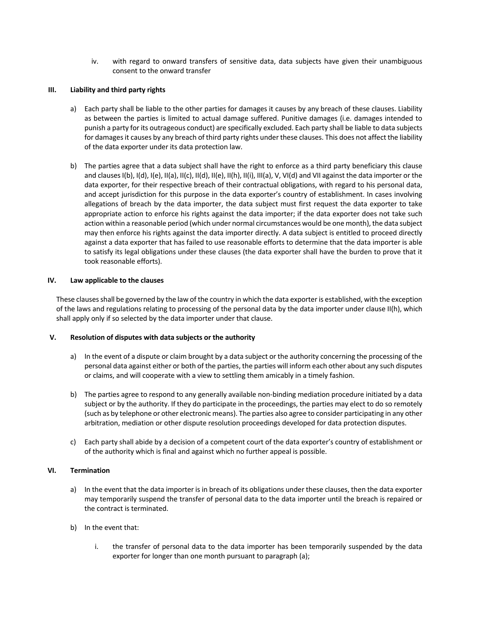iv. with regard to onward transfers of sensitive data, data subjects have given their unambiguous consent to the onward transfer

# **III. Liability and third party rights**

- a) Each party shall be liable to the other parties for damages it causes by any breach of these clauses. Liability as between the parties is limited to actual damage suffered. Punitive damages (i.e. damages intended to punish a party for its outrageous conduct) are specifically excluded. Each party shall be liable to data subjects for damages it causes by any breach of third party rights under these clauses. This does not affect the liability of the data exporter under its data protection law.
- b) The parties agree that a data subject shall have the right to enforce as a third party beneficiary this clause and clauses I(b), I(d), I(e), II(a), II(c), II(d), II(e), II(h), II(i), III(a), V, VI(d) and VII against the data importer or the data exporter, for their respective breach of their contractual obligations, with regard to his personal data, and accept jurisdiction for this purpose in the data exporter's country of establishment. In cases involving allegations of breach by the data importer, the data subject must first request the data exporter to take appropriate action to enforce his rights against the data importer; if the data exporter does not take such action within a reasonable period (which under normal circumstances would be one month), the data subject may then enforce his rights against the data importer directly. A data subject is entitled to proceed directly against a data exporter that has failed to use reasonable efforts to determine that the data importer is able to satisfy its legal obligations under these clauses (the data exporter shall have the burden to prove that it took reasonable efforts).

## **IV. Law applicable to the clauses**

These clauses shall be governed by the law of the country in which the data exporter is established, with the exception of the laws and regulations relating to processing of the personal data by the data importer under clause II(h), which shall apply only if so selected by the data importer under that clause.

# **V. Resolution of disputes with data subjects or the authority**

- a) In the event of a dispute or claim brought by a data subject or the authority concerning the processing of the personal data against either or both of the parties, the parties will inform each other about any such disputes or claims, and will cooperate with a view to settling them amicably in a timely fashion.
- b) The parties agree to respond to any generally available non‐binding mediation procedure initiated by a data subject or by the authority. If they do participate in the proceedings, the parties may elect to do so remotely (such as by telephone or other electronic means). The parties also agree to consider participating in any other arbitration, mediation or other dispute resolution proceedings developed for data protection disputes.
- c) Each party shall abide by a decision of a competent court of the data exporter's country of establishment or of the authority which is final and against which no further appeal is possible.

# **VI. Termination**

- a) In the event that the data importer is in breach of its obligations under these clauses, then the data exporter may temporarily suspend the transfer of personal data to the data importer until the breach is repaired or the contract is terminated.
- b) In the event that:
	- i. the transfer of personal data to the data importer has been temporarily suspended by the data exporter for longer than one month pursuant to paragraph (a);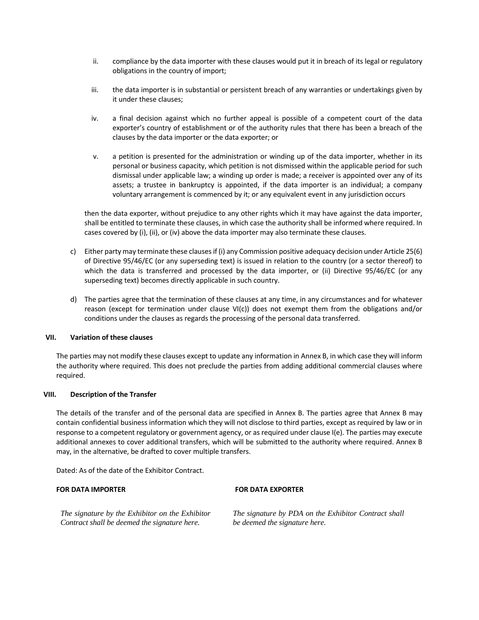- ii. compliance by the data importer with these clauses would put it in breach of its legal or regulatory obligations in the country of import;
- iii. the data importer is in substantial or persistent breach of any warranties or undertakings given by it under these clauses;
- iv. a final decision against which no further appeal is possible of a competent court of the data exporter's country of establishment or of the authority rules that there has been a breach of the clauses by the data importer or the data exporter; or
- v. a petition is presented for the administration or winding up of the data importer, whether in its personal or business capacity, which petition is not dismissed within the applicable period for such dismissal under applicable law; a winding up order is made; a receiver is appointed over any of its assets; a trustee in bankruptcy is appointed, if the data importer is an individual; a company voluntary arrangement is commenced by it; or any equivalent event in any jurisdiction occurs

then the data exporter, without prejudice to any other rights which it may have against the data importer, shall be entitled to terminate these clauses, in which case the authority shall be informed where required. In cases covered by (i), (ii), or (iv) above the data importer may also terminate these clauses.

- c) Either party may terminate these clausesif (i) any Commission positive adequacy decision under Article 25(6) of Directive 95/46/EC (or any superseding text) is issued in relation to the country (or a sector thereof) to which the data is transferred and processed by the data importer, or (ii) Directive 95/46/EC (or any superseding text) becomes directly applicable in such country.
- d) The parties agree that the termination of these clauses at any time, in any circumstances and for whatever reason (except for termination under clause VI(c)) does not exempt them from the obligations and/or conditions under the clauses as regards the processing of the personal data transferred.

# **VII. Variation of these clauses**

The parties may not modify these clauses except to update any information in Annex B, in which case they will inform the authority where required. This does not preclude the parties from adding additional commercial clauses where required.

## **VIII. Description of the Transfer**

The details of the transfer and of the personal data are specified in Annex B. The parties agree that Annex B may contain confidential business information which they will not disclose to third parties, except as required by law or in response to a competent regulatory or government agency, or as required under clause I(e). The parties may execute additional annexes to cover additional transfers, which will be submitted to the authority where required. Annex B may, in the alternative, be drafted to cover multiple transfers.

Dated: As of the date of the Exhibitor Contract.

# **FOR DATA IMPORTER FOR DATA EXPORTER**

*The signature by the Exhibitor on the Exhibitor Contract shall be deemed the signature here.* 

*The signature by PDA on the Exhibitor Contract shall be deemed the signature here.*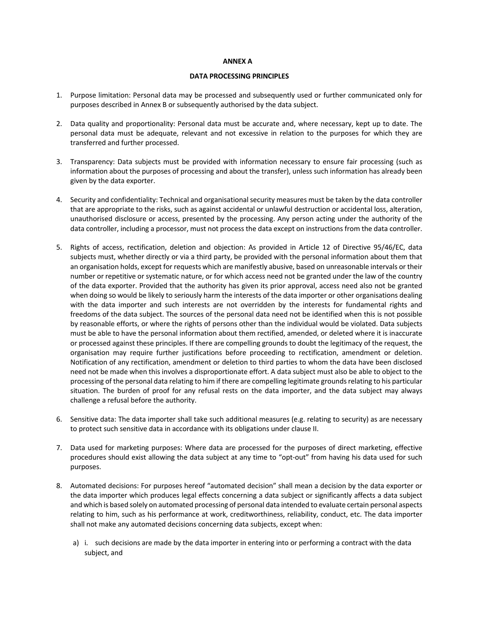#### **ANNEX A**

#### **DATA PROCESSING PRINCIPLES**

- 1. Purpose limitation: Personal data may be processed and subsequently used or further communicated only for purposes described in Annex B or subsequently authorised by the data subject.
- 2. Data quality and proportionality: Personal data must be accurate and, where necessary, kept up to date. The personal data must be adequate, relevant and not excessive in relation to the purposes for which they are transferred and further processed.
- 3. Transparency: Data subjects must be provided with information necessary to ensure fair processing (such as information about the purposes of processing and about the transfer), unless such information has already been given by the data exporter.
- 4. Security and confidentiality: Technical and organisational security measures must be taken by the data controller that are appropriate to the risks, such as against accidental or unlawful destruction or accidental loss, alteration, unauthorised disclosure or access, presented by the processing. Any person acting under the authority of the data controller, including a processor, must not process the data except on instructions from the data controller.
- 5. Rights of access, rectification, deletion and objection: As provided in Article 12 of Directive 95/46/EC, data subjects must, whether directly or via a third party, be provided with the personal information about them that an organisation holds, except for requests which are manifestly abusive, based on unreasonable intervals or their number or repetitive or systematic nature, or for which access need not be granted under the law of the country of the data exporter. Provided that the authority has given its prior approval, access need also not be granted when doing so would be likely to seriously harm the interests of the data importer or other organisations dealing with the data importer and such interests are not overridden by the interests for fundamental rights and freedoms of the data subject. The sources of the personal data need not be identified when this is not possible by reasonable efforts, or where the rights of persons other than the individual would be violated. Data subjects must be able to have the personal information about them rectified, amended, or deleted where it is inaccurate or processed against these principles. If there are compelling grounds to doubt the legitimacy of the request, the organisation may require further justifications before proceeding to rectification, amendment or deletion. Notification of any rectification, amendment or deletion to third parties to whom the data have been disclosed need not be made when this involves a disproportionate effort. A data subject must also be able to object to the processing of the personal data relating to him if there are compelling legitimate groundsrelating to his particular situation. The burden of proof for any refusal rests on the data importer, and the data subject may always challenge a refusal before the authority.
- 6. Sensitive data: The data importer shall take such additional measures (e.g. relating to security) as are necessary to protect such sensitive data in accordance with its obligations under clause II.
- 7. Data used for marketing purposes: Where data are processed for the purposes of direct marketing, effective procedures should exist allowing the data subject at any time to "opt‐out" from having his data used for such purposes.
- 8. Automated decisions: For purposes hereof "automated decision" shall mean a decision by the data exporter or the data importer which produces legal effects concerning a data subject or significantly affects a data subject and which is based solely on automated processing of personal data intended to evaluate certain personal aspects relating to him, such as his performance at work, creditworthiness, reliability, conduct, etc. The data importer shall not make any automated decisions concerning data subjects, except when:
	- a) i. such decisions are made by the data importer in entering into or performing a contract with the data subject, and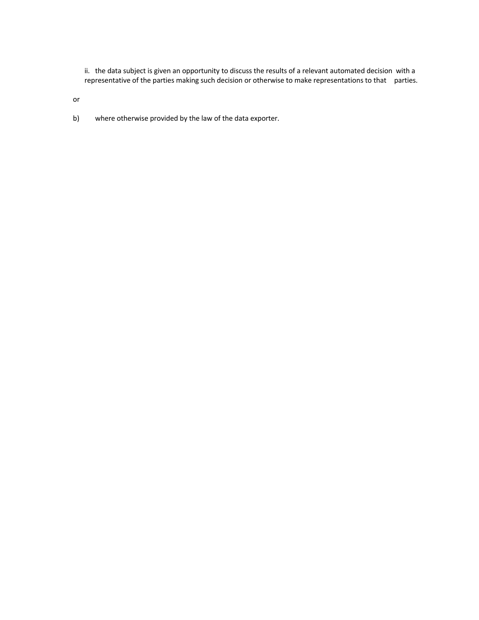ii. the data subject is given an opportunity to discuss the results of a relevant automated decision with a representative of the parties making such decision or otherwise to make representations to that parties.

or

b) where otherwise provided by the law of the data exporter.